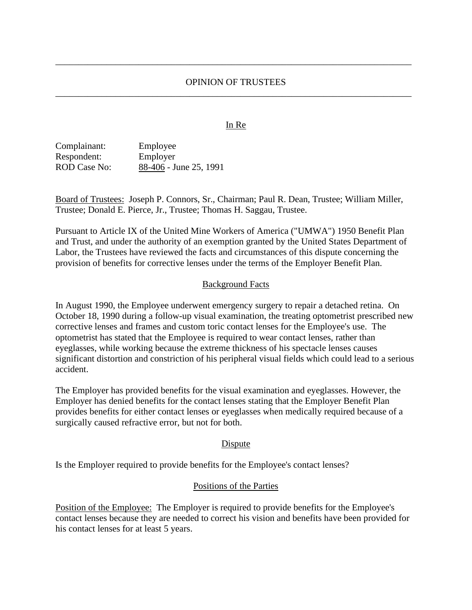# OPINION OF TRUSTEES \_\_\_\_\_\_\_\_\_\_\_\_\_\_\_\_\_\_\_\_\_\_\_\_\_\_\_\_\_\_\_\_\_\_\_\_\_\_\_\_\_\_\_\_\_\_\_\_\_\_\_\_\_\_\_\_\_\_\_\_\_\_\_\_\_\_\_\_\_\_\_\_\_\_\_\_\_

\_\_\_\_\_\_\_\_\_\_\_\_\_\_\_\_\_\_\_\_\_\_\_\_\_\_\_\_\_\_\_\_\_\_\_\_\_\_\_\_\_\_\_\_\_\_\_\_\_\_\_\_\_\_\_\_\_\_\_\_\_\_\_\_\_\_\_\_\_\_\_\_\_\_\_\_\_

#### In Re

Complainant: Employee Respondent: Employer ROD Case No: 88-406 - June 25, 1991

Board of Trustees: Joseph P. Connors, Sr., Chairman; Paul R. Dean, Trustee; William Miller, Trustee; Donald E. Pierce, Jr., Trustee; Thomas H. Saggau, Trustee.

Pursuant to Article IX of the United Mine Workers of America ("UMWA") 1950 Benefit Plan and Trust, and under the authority of an exemption granted by the United States Department of Labor, the Trustees have reviewed the facts and circumstances of this dispute concerning the provision of benefits for corrective lenses under the terms of the Employer Benefit Plan.

#### Background Facts

In August 1990, the Employee underwent emergency surgery to repair a detached retina. On October 18, 1990 during a follow-up visual examination, the treating optometrist prescribed new corrective lenses and frames and custom toric contact lenses for the Employee's use. The optometrist has stated that the Employee is required to wear contact lenses, rather than eyeglasses, while working because the extreme thickness of his spectacle lenses causes significant distortion and constriction of his peripheral visual fields which could lead to a serious accident.

The Employer has provided benefits for the visual examination and eyeglasses. However, the Employer has denied benefits for the contact lenses stating that the Employer Benefit Plan provides benefits for either contact lenses or eyeglasses when medically required because of a surgically caused refractive error, but not for both.

#### Dispute

Is the Employer required to provide benefits for the Employee's contact lenses?

#### Positions of the Parties

Position of the Employee: The Employer is required to provide benefits for the Employee's contact lenses because they are needed to correct his vision and benefits have been provided for his contact lenses for at least 5 years.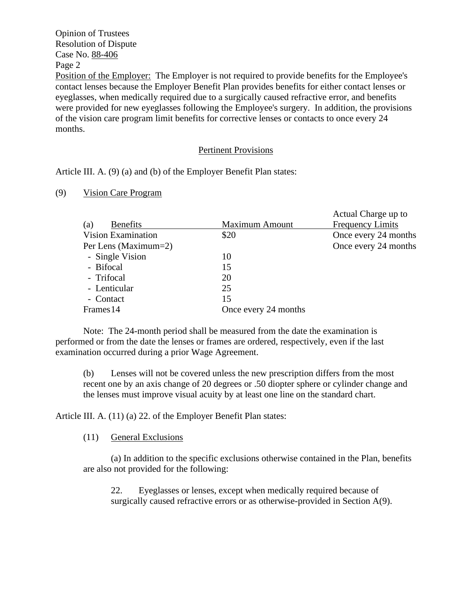# Opinion of Trustees Resolution of Dispute Case No. 88-406 Page 2

Position of the Employer: The Employer is not required to provide benefits for the Employee's contact lenses because the Employer Benefit Plan provides benefits for either contact lenses or eyeglasses, when medically required due to a surgically caused refractive error, and benefits were provided for new eyeglasses following the Employee's surgery. In addition, the provisions of the vision care program limit benefits for corrective lenses or contacts to once every 24 months.

# Pertinent Provisions

Article III. A. (9) (a) and (b) of the Employer Benefit Plan states:

# (9) Vision Care Program

|                           |                       | Actual Charge up to     |
|---------------------------|-----------------------|-------------------------|
| (a)<br><b>Benefits</b>    | <b>Maximum Amount</b> | <b>Frequency Limits</b> |
| <b>Vision Examination</b> | \$20                  | Once every 24 months    |
| Per Lens (Maximum=2)      |                       | Once every 24 months    |
| - Single Vision           | 10                    |                         |
| - Bifocal                 | 15                    |                         |
| - Trifocal                | 20                    |                         |
| - Lenticular              | 25                    |                         |
| - Contact                 | 15                    |                         |
| Frames 14                 | Once every 24 months  |                         |

Note: The 24-month period shall be measured from the date the examination is performed or from the date the lenses or frames are ordered, respectively, even if the last examination occurred during a prior Wage Agreement.

(b) Lenses will not be covered unless the new prescription differs from the most recent one by an axis change of 20 degrees or .50 diopter sphere or cylinder change and the lenses must improve visual acuity by at least one line on the standard chart.

Article III. A. (11) (a) 22. of the Employer Benefit Plan states:

# (11) General Exclusions

(a) In addition to the specific exclusions otherwise contained in the Plan, benefits are also not provided for the following:

22. Eyeglasses or lenses, except when medically required because of surgically caused refractive errors or as otherwise-provided in Section A(9).